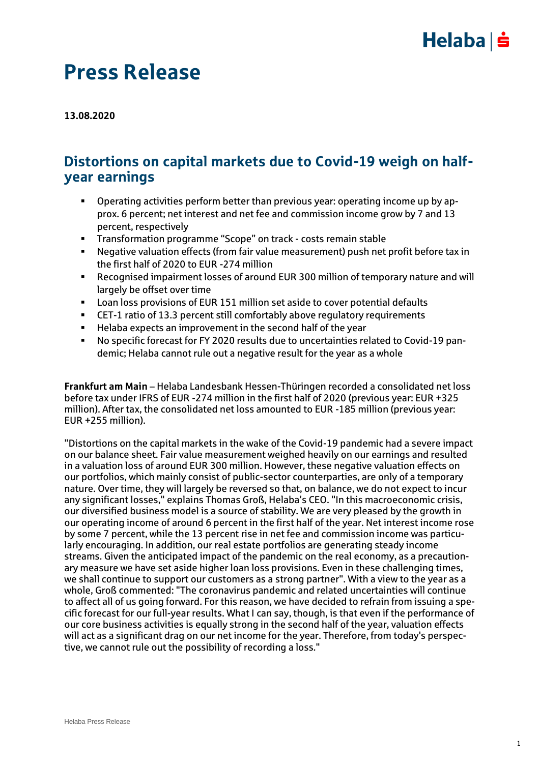## $Helaba| \dot{=}$

### Press Release

**13.08.2020**

### Distortions on capital markets due to Covid-19 weigh on halfyear earnings

- Operating activities perform better than previous year: operating income up by approx. 6 percent; net interest and net fee and commission income grow by 7 and 13 percent, respectively
- Transformation programme "Scope" on track costs remain stable
- Negative valuation effects (from fair value measurement) push net profit before tax in the first half of 2020 to EUR -274 million
- Recognised impairment losses of around EUR 300 million of temporary nature and will largely be offset over time
- Loan loss provisions of EUR 151 million set aside to cover potential defaults
- CET-1 ratio of 13.3 percent still comfortably above regulatory requirements
- Helaba expects an improvement in the second half of the year
- No specific forecast for FY 2020 results due to uncertainties related to Covid-19 pandemic; Helaba cannot rule out a negative result for the year as a whole

**Frankfurt am Main** – Helaba Landesbank Hessen-Thüringen recorded a consolidated net loss before tax under IFRS of EUR -274 million in the first half of 2020 (previous year: EUR +325 million). After tax, the consolidated net loss amounted to EUR -185 million (previous year: EUR +255 million).

"Distortions on the capital markets in the wake of the Covid-19 pandemic had a severe impact on our balance sheet. Fair value measurement weighed heavily on our earnings and resulted in a valuation loss of around EUR 300 million. However, these negative valuation effects on our portfolios, which mainly consist of public-sector counterparties, are only of a temporary nature. Over time, they will largely be reversed so that, on balance, we do not expect to incur any significant losses," explains Thomas Groß, Helaba's CEO. "In this macroeconomic crisis, our diversified business model is a source of stability. We are very pleased by the growth in our operating income of around 6 percent in the first half of the year. Net interest income rose by some 7 percent, while the 13 percent rise in net fee and commission income was particularly encouraging. In addition, our real estate portfolios are generating steady income streams. Given the anticipated impact of the pandemic on the real economy, as a precautionary measure we have set aside higher loan loss provisions. Even in these challenging times, we shall continue to support our customers as a strong partner". With a view to the year as a whole, Groß commented: "The coronavirus pandemic and related uncertainties will continue to affect all of us going forward. For this reason, we have decided to refrain from issuing a specific forecast for our full-year results. What I can say, though, is that even if the performance of our core business activities is equally strong in the second half of the year, valuation effects will act as a significant drag on our net income for the year. Therefore, from today's perspective, we cannot rule out the possibility of recording a loss."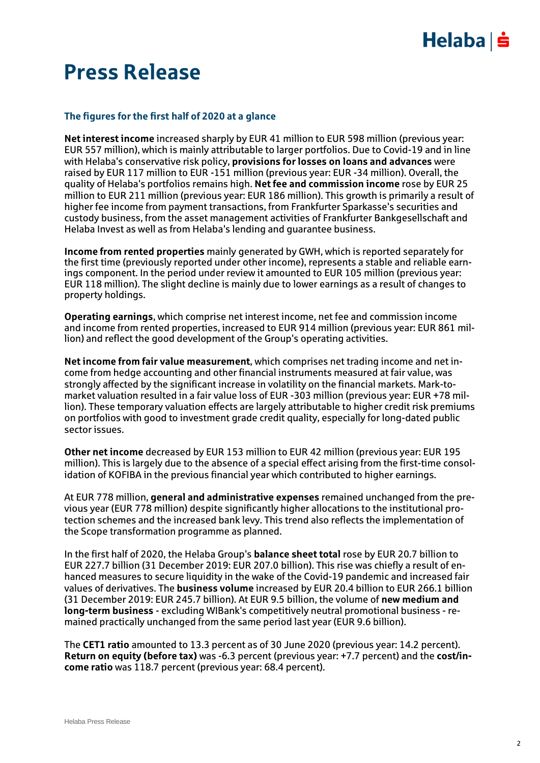# $Helaba| \dot{=}$

## Press Release

### **The figures for the first half of 2020 at a glance**

**Net interest income** increased sharply by EUR 41 million to EUR 598 million (previous year: EUR 557 million), which is mainly attributable to larger portfolios. Due to Covid-19 and in line with Helaba's conservative risk policy, **provisions for losses on loans and advances** were raised by EUR 117 million to EUR -151 million (previous year: EUR -34 million). Overall, the quality of Helaba's portfolios remains high. **Net fee and commission income** rose by EUR 25 million to EUR 211 million (previous year: EUR 186 million). This growth is primarily a result of higher fee income from payment transactions, from Frankfurter Sparkasse's securities and custody business, from the asset management activities of Frankfurter Bankgesellschaft and Helaba Invest as well as from Helaba's lending and guarantee business.

**Income from rented properties** mainly generated by GWH, which is reported separately for the first time (previously reported under other income), represents a stable and reliable earnings component. In the period under review it amounted to EUR 105 million (previous year: EUR 118 million). The slight decline is mainly due to lower earnings as a result of changes to property holdings.

**Operating earnings**, which comprise net interest income, net fee and commission income and income from rented properties, increased to EUR 914 million (previous year: EUR 861 million) and reflect the good development of the Group's operating activities.

**Net income from fair value measurement**, which comprises net trading income and net income from hedge accounting and other financial instruments measured at fair value, was strongly affected by the significant increase in volatility on the financial markets. Mark-tomarket valuation resulted in a fair value loss of EUR -303 million (previous year: EUR +78 million). These temporary valuation effects are largely attributable to higher credit risk premiums on portfolios with good to investment grade credit quality, especially for long-dated public sector issues.

**Other net income** decreased by EUR 153 million to EUR 42 million (previous year: EUR 195 million). This is largely due to the absence of a special effect arising from the first-time consolidation of KOFIBA in the previous financial year which contributed to higher earnings.

At EUR 778 million, **general and administrative expenses** remained unchanged from the previous year (EUR 778 million) despite significantly higher allocations to the institutional protection schemes and the increased bank levy. This trend also reflects the implementation of the Scope transformation programme as planned.

In the first half of 2020, the Helaba Group's **balance sheet total** rose by EUR 20.7 billion to EUR 227.7 billion (31 December 2019: EUR 207.0 billion). This rise was chiefly a result of enhanced measures to secure liquidity in the wake of the Covid-19 pandemic and increased fair values of derivatives. The **business volume** increased by EUR 20.4 billion to EUR 266.1 billion (31 December 2019: EUR 245.7 billion). At EUR 9.5 billion, the volume of **new medium and long-term business** - excluding WIBank's competitively neutral promotional business - remained practically unchanged from the same period last year (EUR 9.6 billion).

The **CET1 ratio** amounted to 13.3 percent as of 30 June 2020 (previous year: 14.2 percent). **Return on equity (before tax)** was -6.3 percent (previous year: +7.7 percent) and the **cost/income ratio** was 118.7 percent (previous year: 68.4 percent).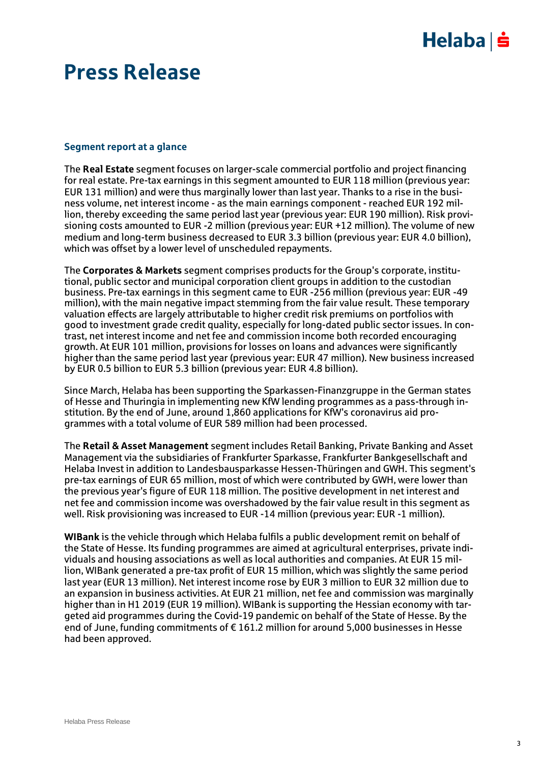## $Helaba| \dot{=}$

### Press Release

### **Segment report at a glance**

The **Real Estate** segment focuses on larger-scale commercial portfolio and project financing for real estate. Pre-tax earnings in this segment amounted to EUR 118 million (previous year: EUR 131 million) and were thus marginally lower than last year. Thanks to a rise in the business volume, net interest income - as the main earnings component - reached EUR 192 million, thereby exceeding the same period last year (previous year: EUR 190 million). Risk provisioning costs amounted to EUR -2 million (previous year: EUR +12 million). The volume of new medium and long-term business decreased to EUR 3.3 billion (previous year: EUR 4.0 billion), which was offset by a lower level of unscheduled repayments.

The **Corporates & Markets** segment comprises products for the Group's corporate, institutional, public sector and municipal corporation client groups in addition to the custodian business. Pre-tax earnings in this segment came to EUR -256 million (previous year: EUR -49 million), with the main negative impact stemming from the fair value result. These temporary valuation effects are largely attributable to higher credit risk premiums on portfolios with good to investment grade credit quality, especially for long-dated public sector issues. In contrast, net interest income and net fee and commission income both recorded encouraging growth. At EUR 101 million, provisions for losses on loans and advances were significantly higher than the same period last year (previous year: EUR 47 million). New business increased by EUR 0.5 billion to EUR 5.3 billion (previous year: EUR 4.8 billion).

Since March, Helaba has been supporting the Sparkassen-Finanzgruppe in the German states of Hesse and Thuringia in implementing new KfW lending programmes as a pass-through institution. By the end of June, around 1,860 applications for KfW's coronavirus aid programmes with a total volume of EUR 589 million had been processed.

The **Retail & Asset Management** segment includes Retail Banking, Private Banking and Asset Management via the subsidiaries of Frankfurter Sparkasse, Frankfurter Bankgesellschaft and Helaba Invest in addition to Landesbausparkasse Hessen-Thüringen and GWH. This segment's pre-tax earnings of EUR 65 million, most of which were contributed by GWH, were lower than the previous year's figure of EUR 118 million. The positive development in net interest and net fee and commission income was overshadowed by the fair value result in this segment as well. Risk provisioning was increased to EUR -14 million (previous year: EUR -1 million).

**WIBank** is the vehicle through which Helaba fulfils a public development remit on behalf of the State of Hesse. Its funding programmes are aimed at agricultural enterprises, private individuals and housing associations as well as local authorities and companies. At EUR 15 million, WIBank generated a pre-tax profit of EUR 15 million, which was slightly the same period last year (EUR 13 million). Net interest income rose by EUR 3 million to EUR 32 million due to an expansion in business activities. At EUR 21 million, net fee and commission was marginally higher than in H1 2019 (EUR 19 million). WIBank is supporting the Hessian economy with targeted aid programmes during the Covid-19 pandemic on behalf of the State of Hesse. By the end of June, funding commitments of € 161.2 million for around 5,000 businesses in Hesse had been approved.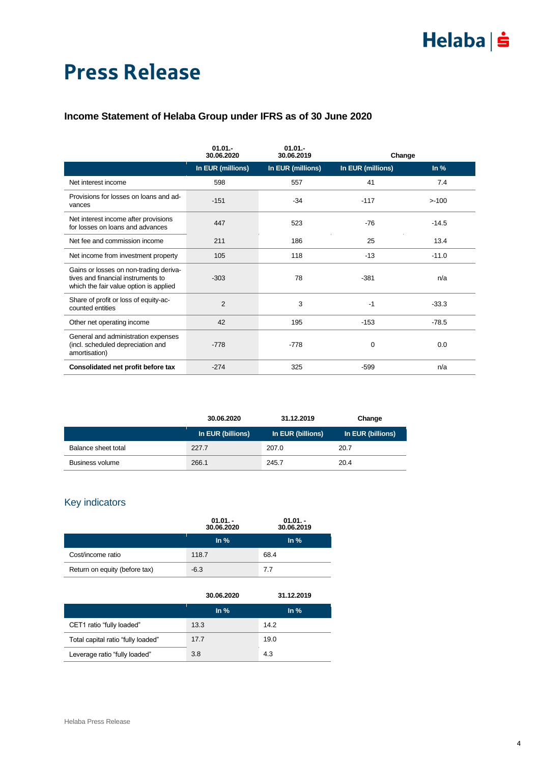# Press Release

### **Income Statement of Helaba Group under IFRS as of 30 June 2020**

|                                                                                                                        | $01.01 -$<br>30.06.2020 | $01.01 -$<br>30.06.2019 | Change            |                   |
|------------------------------------------------------------------------------------------------------------------------|-------------------------|-------------------------|-------------------|-------------------|
|                                                                                                                        | In EUR (millions)       | In EUR (millions)       | In EUR (millions) | $\ln \frac{9}{6}$ |
| Net interest income                                                                                                    | 598                     | 557                     | 41                | 7.4               |
| Provisions for losses on loans and ad-<br>vances                                                                       | $-151$                  | $-34$                   | $-117$            | $> -100$          |
| Net interest income after provisions<br>for losses on loans and advances                                               | 447                     | 523                     | $-76$             | $-14.5$           |
| Net fee and commission income                                                                                          | 211                     | 186                     | 25                | 13.4              |
| Net income from investment property                                                                                    | 105                     | 118                     | $-13$             | $-11.0$           |
| Gains or losses on non-trading deriva-<br>tives and financial instruments to<br>which the fair value option is applied | $-303$                  | 78                      | $-381$            | n/a               |
| Share of profit or loss of equity-ac-<br>counted entities                                                              | $\overline{2}$          | 3                       | $-1$              | $-33.3$           |
| Other net operating income                                                                                             | 42                      | 195                     | $-153$            | $-78.5$           |
| General and administration expenses<br>(incl. scheduled depreciation and<br>amortisation)                              | $-778$                  | $-778$                  | 0                 | 0.0               |
| Consolidated net profit before tax                                                                                     | $-274$                  | 325                     | $-599$            | n/a               |

|                     | 30.06.2020        | 31.12.2019        | Change            |
|---------------------|-------------------|-------------------|-------------------|
|                     | In EUR (billions) | In EUR (billions) | In EUR (billions) |
| Balance sheet total | 227.7             | 207.0             | 20.7              |
| Business volume     | 266.1             | 245.7             | 20.4              |

### Key indicators

|                               | $01.01 -$<br>30.06.2020 | $01.01 -$<br>30.06.2019 |  |
|-------------------------------|-------------------------|-------------------------|--|
|                               | $\ln \frac{9}{6}$       | $\ln \frac{9}{6}$       |  |
| Cost/income ratio             | 118.7                   | 68.4                    |  |
| Return on equity (before tax) | $-6.3$                  | 77                      |  |

|                                    | 30.06.2020        | 31.12.2019        |
|------------------------------------|-------------------|-------------------|
|                                    | $\ln \frac{9}{6}$ | $\ln \frac{9}{6}$ |
| CET1 ratio "fully loaded"          | 13.3              | 14.2              |
| Total capital ratio "fully loaded" | 17.7              | 19.0              |
| Leverage ratio "fully loaded"      | 3.8               | 4.3               |